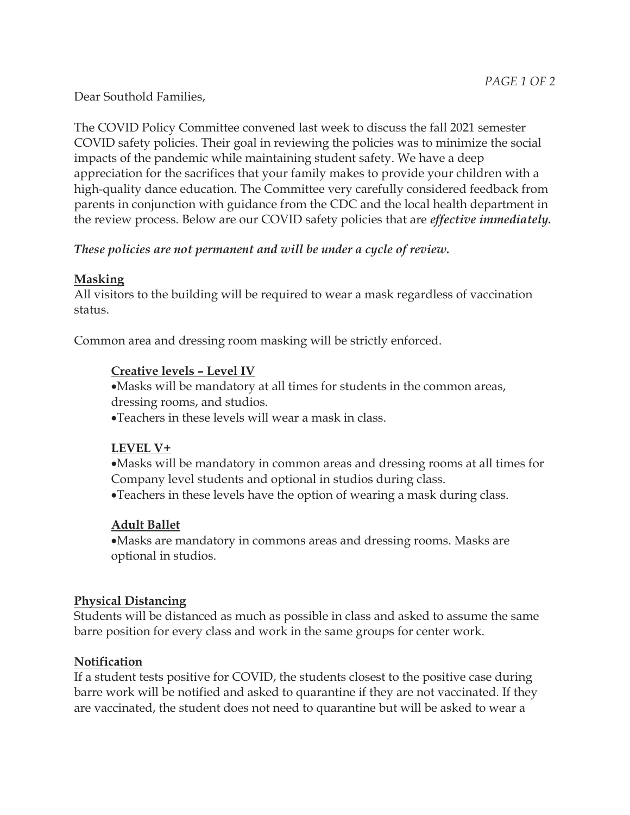Dear Southold Families,

The COVID Policy Committee convened last week to discuss the fall 2021 semester COVID safety policies. Their goal in reviewing the policies was to minimize the social impacts of the pandemic while maintaining student safety. We have a deep appreciation for the sacrifices that your family makes to provide your children with a high-quality dance education. The Committee very carefully considered feedback from parents in conjunction with guidance from the CDC and the local health department in the review process. Below are our COVID safety policies that are *effective immediately.*

*These policies are not permanent and will be under a cycle of review.*

## **Masking**

All visitors to the building will be required to wear a mask regardless of vaccination status.

Common area and dressing room masking will be strictly enforced.

## **Creative levels – Level IV**

•Masks will be mandatory at all times for students in the common areas, dressing rooms, and studios.

•Teachers in these levels will wear a mask in class.

### **LEVEL V+**

- •Masks will be mandatory in common areas and dressing rooms at all times for Company level students and optional in studios during class.
- •Teachers in these levels have the option of wearing a mask during class.

# **Adult Ballet**

•Masks are mandatory in commons areas and dressing rooms. Masks are optional in studios.

### **Physical Distancing**

Students will be distanced as much as possible in class and asked to assume the same barre position for every class and work in the same groups for center work.

# **Notification**

If a student tests positive for COVID, the students closest to the positive case during barre work will be notified and asked to quarantine if they are not vaccinated. If they are vaccinated, the student does not need to quarantine but will be asked to wear a